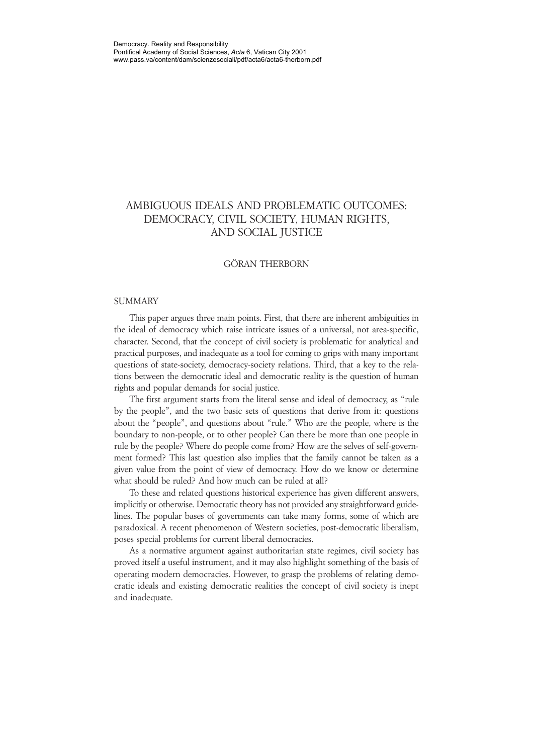# AMBIGUOUS IDEALS AND PROBLEMATIC OUTCOMES: DEMOCRACY, CIVIL SOCIETY, HUMAN RIGHTS, AND SOCIAL JUSTICE

#### GÖRAN THERBORN

#### **SUMMARY**

This paper argues three main points. First, that there are inherent ambiguities in the ideal of democracy which raise intricate issues of a universal, not area-specific, character. Second, that the concept of civil society is problematic for analytical and practical purposes, and inadequate as a tool for coming to grips with many important questions of state-society, democracy-society relations. Third, that a key to the relations between the democratic ideal and democratic reality is the question of human rights and popular demands for social justice.

The first argument starts from the literal sense and ideal of democracy, as "rule by the people", and the two basic sets of questions that derive from it: questions about the "people", and questions about "rule." Who are the people, where is the boundary to non-people, or to other people? Can there be more than one people in rule by the people? Where do people come from? How are the selves of self-government formed? This last question also implies that the family cannot be taken as a given value from the point of view of democracy. How do we know or determine what should be ruled? And how much can be ruled at all?

To these and related questions historical experience has given different answers, implicitly or otherwise. Democratic theory has not provided any straightforward guidelines. The popular bases of governments can take many forms, some of which are paradoxical. A recent phenomenon of Western societies, post-democratic liberalism, poses special problems for current liberal democracies.

As a normative argument against authoritarian state regimes, civil society has proved itself a useful instrument, and it may also highlight something of the basis of operating modern democracies. However, to grasp the problems of relating democratic ideals and existing democratic realities the concept of civil society is inept and inadequate.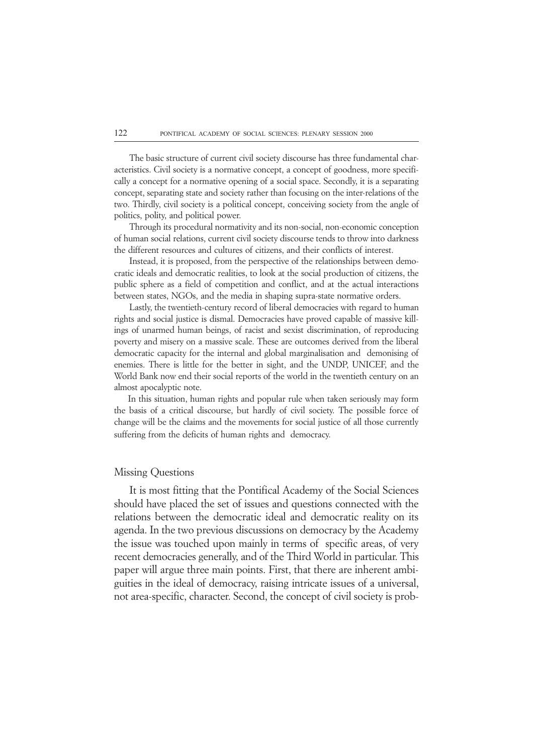The basic structure of current civil society discourse has three fundamental characteristics. Civil society is a normative concept, a concept of goodness, more specifically a concept for a normative opening of a social space. Secondly, it is a separating concept, separating state and society rather than focusing on the inter-relations of the two. Thirdly, civil society is a political concept, conceiving society from the angle of politics, polity, and political power.

Through its procedural normativity and its non-social, non-economic conception of human social relations, current civil society discourse tends to throw into darkness the different resources and cultures of citizens, and their conflicts of interest.

Instead, it is proposed, from the perspective of the relationships between democratic ideals and democratic realities, to look at the social production of citizens, the public sphere as a field of competition and conflict, and at the actual interactions between states, NGOs, and the media in shaping supra-state normative orders.

Lastly, the twentieth-century record of liberal democracies with regard to human rights and social justice is dismal. Democracies have proved capable of massive killings of unarmed human beings, of racist and sexist discrimination, of reproducing poverty and misery on a massive scale. These are outcomes derived from the liberal democratic capacity for the internal and global marginalisation and demonising of enemies. There is little for the better in sight, and the UNDP, UNICEF, and the World Bank now end their social reports of the world in the twentieth century on an almost apocalyptic note.

 In this situation, human rights and popular rule when taken seriously may form the basis of a critical discourse, but hardly of civil society. The possible force of change will be the claims and the movements for social justice of all those currently suffering from the deficits of human rights and democracy.

#### Missing Questions

It is most fitting that the Pontifical Academy of the Social Sciences should have placed the set of issues and questions connected with the relations between the democratic ideal and democratic reality on its agenda. In the two previous discussions on democracy by the Academy the issue was touched upon mainly in terms of specific areas, of very recent democracies generally, and of the Third World in particular. This paper will argue three main points. First, that there are inherent ambiguities in the ideal of democracy, raising intricate issues of a universal, not area-specific, character. Second, the concept of civil society is prob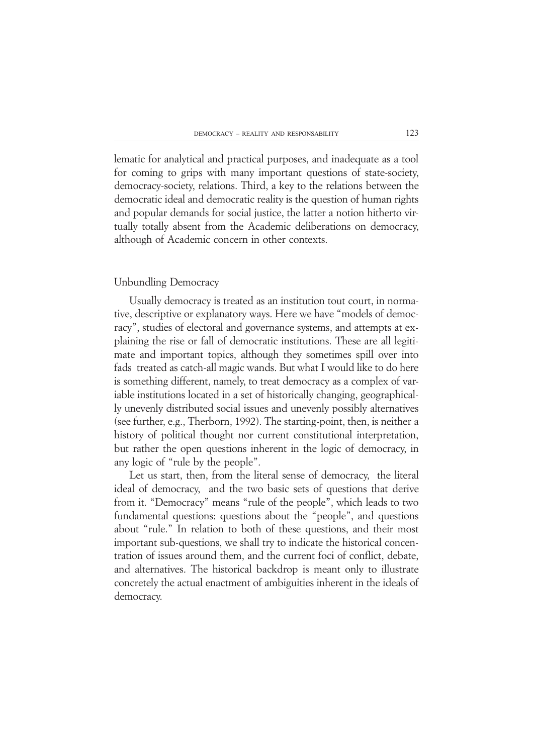lematic for analytical and practical purposes, and inadequate as a tool for coming to grips with many important questions of state-society, democracy-society, relations. Third, a key to the relations between the democratic ideal and democratic reality is the question of human rights and popular demands for social justice, the latter a notion hitherto virtually totally absent from the Academic deliberations on democracy, although of Academic concern in other contexts.

### Unbundling Democracy

Usually democracy is treated as an institution tout court, in normative, descriptive or explanatory ways. Here we have "models of democracy", studies of electoral and governance systems, and attempts at explaining the rise or fall of democratic institutions. These are all legitimate and important topics, although they sometimes spill over into fads treated as catch-all magic wands. But what I would like to do here is something different, namely, to treat democracy as a complex of variable institutions located in a set of historically changing, geographically unevenly distributed social issues and unevenly possibly alternatives (see further, e.g., Therborn, 1992). The starting-point, then, is neither a history of political thought nor current constitutional interpretation, but rather the open questions inherent in the logic of democracy, in any logic of "rule by the people".

Let us start, then, from the literal sense of democracy, the literal ideal of democracy, and the two basic sets of questions that derive from it. "Democracy" means "rule of the people", which leads to two fundamental questions: questions about the "people", and questions about "rule." In relation to both of these questions, and their most important sub-questions, we shall try to indicate the historical concentration of issues around them, and the current foci of conflict, debate, and alternatives. The historical backdrop is meant only to illustrate concretely the actual enactment of ambiguities inherent in the ideals of democracy.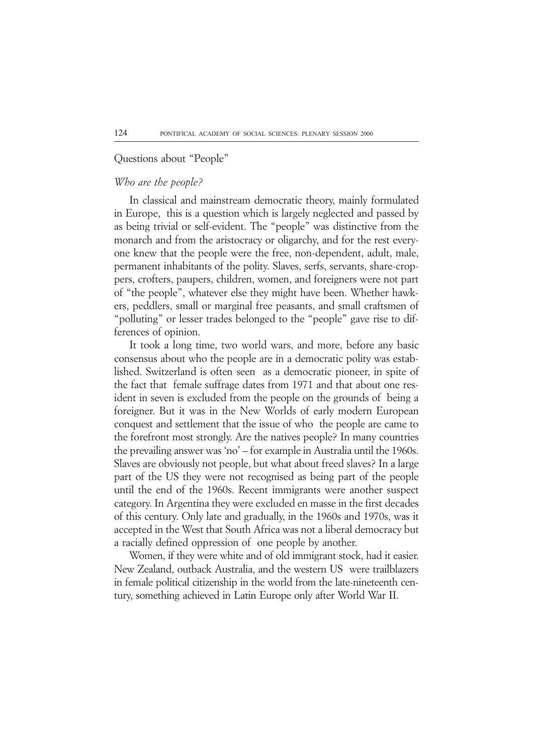### Questions about "People"

## *Who are the people?*

In classical and mainstream democratic theory, mainly formulated in Europe, this is a question which is largely neglected and passed by as being trivial or self-evident. The "people" was distinctive from the monarch and from the aristocracy or oligarchy, and for the rest everyone knew that the people were the free, non-dependent, adult, male, permanent inhabitants of the polity. Slaves, serfs, servants, share-croppers, crofters, paupers, children, women, and foreigners were not part of "the people", whatever else they might have been. Whether hawkers, peddlers, small or marginal free peasants, and small craftsmen of "polluting" or lesser trades belonged to the "people" gave rise to differences of opinion.

It took a long time, two world wars, and more, before any basic consensus about who the people are in a democratic polity was established. Switzerland is often seen as a democratic pioneer, in spite of the fact that female suffrage dates from 1971 and that about one resident in seven is excluded from the people on the grounds of being a foreigner. But it was in the New Worlds of early modern European conquest and settlement that the issue of who the people are came to the forefront most strongly. Are the natives people? In many countries the prevailing answer was 'no' – for example in Australia until the 1960s. Slaves are obviously not people, but what about freed slaves? In a large part of the US they were not recognised as being part of the people until the end of the 1960s. Recent immigrants were another suspect category. In Argentina they were excluded en masse in the first decades of this century. Only late and gradually, in the 1960s and 1970s, was it accepted in the West that South Africa was not a liberal democracy but a racially defined oppression of one people by another.

Women, if they were white and of old immigrant stock, had it easier. New Zealand, outback Australia, and the western US were trailblazers in female political citizenship in the world from the late-nineteenth century, something achieved in Latin Europe only after World War II.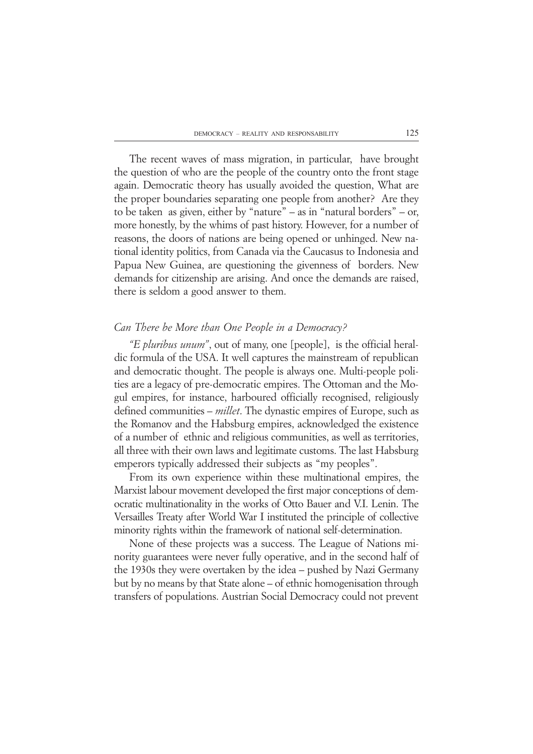The recent waves of mass migration, in particular, have brought the question of who are the people of the country onto the front stage again. Democratic theory has usually avoided the question, What are the proper boundaries separating one people from another? Are they to be taken as given, either by "nature" – as in "natural borders" – or, more honestly, by the whims of past history. However, for a number of reasons, the doors of nations are being opened or unhinged. New national identity politics, from Canada via the Caucasus to Indonesia and Papua New Guinea, are questioning the givenness of borders. New demands for citizenship are arising. And once the demands are raised, there is seldom a good answer to them.

### *Can There be More than One People in a Democracy?*

*"E pluribus unum"*, out of many, one [people], is the official heraldic formula of the USA. It well captures the mainstream of republican and democratic thought. The people is always one. Multi-people polities are a legacy of pre-democratic empires. The Ottoman and the Mogul empires, for instance, harboured officially recognised, religiously defined communities – *millet*. The dynastic empires of Europe, such as the Romanov and the Habsburg empires, acknowledged the existence of a number of ethnic and religious communities, as well as territories, all three with their own laws and legitimate customs. The last Habsburg emperors typically addressed their subjects as "my peoples".

From its own experience within these multinational empires, the Marxist labour movement developed the first major conceptions of democratic multinationality in the works of Otto Bauer and V.I. Lenin. The Versailles Treaty after World War I instituted the principle of collective minority rights within the framework of national self-determination.

None of these projects was a success. The League of Nations minority guarantees were never fully operative, and in the second half of the 1930s they were overtaken by the idea – pushed by Nazi Germany but by no means by that State alone – of ethnic homogenisation through transfers of populations. Austrian Social Democracy could not prevent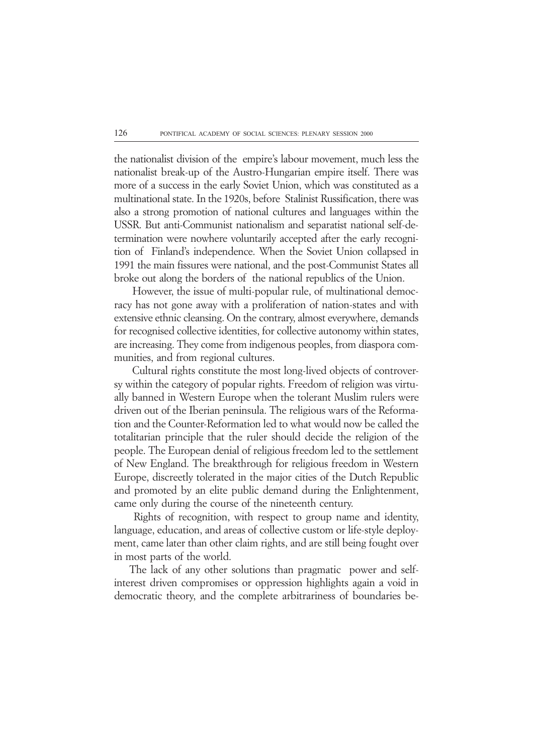the nationalist division of the empire's labour movement, much less the nationalist break-up of the Austro-Hungarian empire itself. There was more of a success in the early Soviet Union, which was constituted as a multinational state. In the 1920s, before Stalinist Russification, there was also a strong promotion of national cultures and languages within the USSR. But anti-Communist nationalism and separatist national self-determination were nowhere voluntarily accepted after the early recognition of Finland's independence. When the Soviet Union collapsed in 1991 the main fissures were national, and the post-Communist States all broke out along the borders of the national republics of the Union.

 However, the issue of multi-popular rule, of multinational democracy has not gone away with a proliferation of nation-states and with extensive ethnic cleansing. On the contrary, almost everywhere, demands for recognised collective identities, for collective autonomy within states, are increasing. They come from indigenous peoples, from diaspora communities, and from regional cultures.

 Cultural rights constitute the most long-lived objects of controversy within the category of popular rights. Freedom of religion was virtually banned in Western Europe when the tolerant Muslim rulers were driven out of the Iberian peninsula. The religious wars of the Reformation and the Counter-Reformation led to what would now be called the totalitarian principle that the ruler should decide the religion of the people. The European denial of religious freedom led to the settlement of New England. The breakthrough for religious freedom in Western Europe, discreetly tolerated in the major cities of the Dutch Republic and promoted by an elite public demand during the Enlightenment, came only during the course of the nineteenth century.

 Rights of recognition, with respect to group name and identity, language, education, and areas of collective custom or life-style deployment, came later than other claim rights, and are still being fought over in most parts of the world.

The lack of any other solutions than pragmatic power and selfinterest driven compromises or oppression highlights again a void in democratic theory, and the complete arbitrariness of boundaries be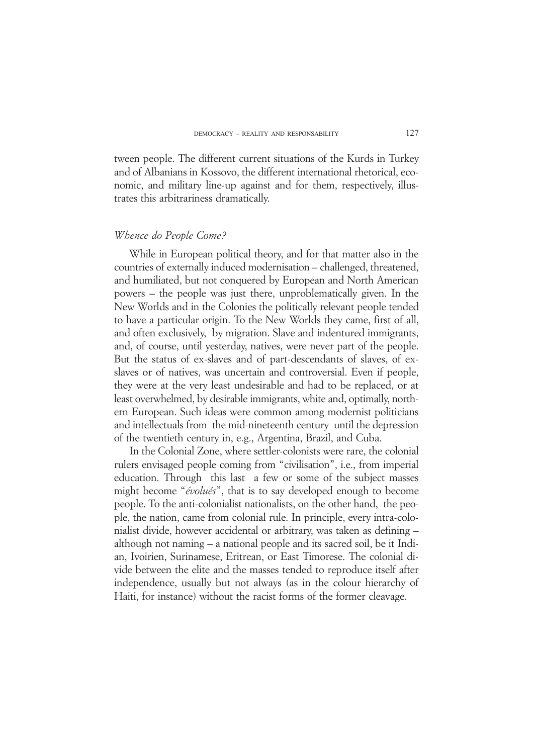tween people. The different current situations of the Kurds in Turkey and of Albanians in Kossovo, the different international rhetorical, economic, and military line-up against and for them, respectively, illustrates this arbitrariness dramatically.

### *Whence do People Come?*

While in European political theory, and for that matter also in the countries of externally induced modernisation – challenged, threatened, and humiliated, but not conquered by European and North American powers – the people was just there, unproblematically given. In the New Worlds and in the Colonies the politically relevant people tended to have a particular origin. To the New Worlds they came, first of all, and often exclusively, by migration. Slave and indentured immigrants, and, of course, until yesterday, natives, were never part of the people. But the status of ex-slaves and of part-descendants of slaves, of exslaves or of natives, was uncertain and controversial. Even if people, they were at the very least undesirable and had to be replaced, or at least overwhelmed, by desirable immigrants, white and, optimally, northern European. Such ideas were common among modernist politicians and intellectuals from the mid-nineteenth century until the depression of the twentieth century in, e.g., Argentina, Brazil, and Cuba.

In the Colonial Zone, where settler-colonists were rare, the colonial rulers envisaged people coming from "civilisation", i.e., from imperial education. Through this last a few or some of the subject masses might become "*évolués*", that is to say developed enough to become people. To the anti-colonialist nationalists, on the other hand, the people, the nation, came from colonial rule. In principle, every intra-colonialist divide, however accidental or arbitrary, was taken as defining – although not naming – a national people and its sacred soil, be it Indian, Ivoirien, Surinamese, Eritrean, or East Timorese. The colonial divide between the elite and the masses tended to reproduce itself after independence, usually but not always (as in the colour hierarchy of Haiti, for instance) without the racist forms of the former cleavage.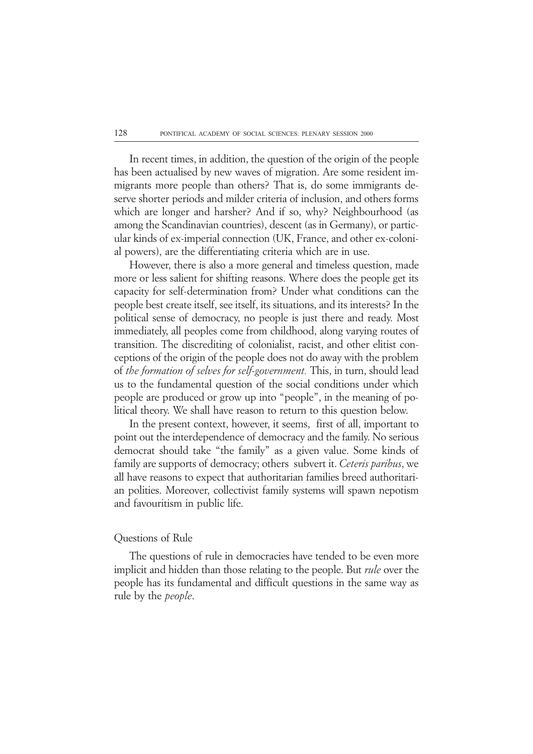In recent times, in addition, the question of the origin of the people has been actualised by new waves of migration. Are some resident immigrants more people than others? That is, do some immigrants deserve shorter periods and milder criteria of inclusion, and others forms which are longer and harsher? And if so, why? Neighbourhood (as among the Scandinavian countries), descent (as in Germany), or particular kinds of ex-imperial connection (UK, France, and other ex-colonial powers), are the differentiating criteria which are in use.

However, there is also a more general and timeless question, made more or less salient for shifting reasons. Where does the people get its capacity for self-determination from? Under what conditions can the people best create itself, see itself, its situations, and its interests? In the political sense of democracy, no people is just there and ready. Most immediately, all peoples come from childhood, along varying routes of transition. The discrediting of colonialist, racist, and other elitist conceptions of the origin of the people does not do away with the problem of *the formation of selves for self-government.* This, in turn, should lead us to the fundamental question of the social conditions under which people are produced or grow up into "people", in the meaning of political theory. We shall have reason to return to this question below.

In the present context, however, it seems, first of all, important to point out the interdependence of democracy and the family. No serious democrat should take "the family" as a given value. Some kinds of family are supports of democracy; others subvert it. *Ceteris paribus*, we all have reasons to expect that authoritarian families breed authoritarian polities. Moreover, collectivist family systems will spawn nepotism and favouritism in public life.

### Questions of Rule

The questions of rule in democracies have tended to be even more implicit and hidden than those relating to the people. But *rule* over the people has its fundamental and difficult questions in the same way as rule by the *people*.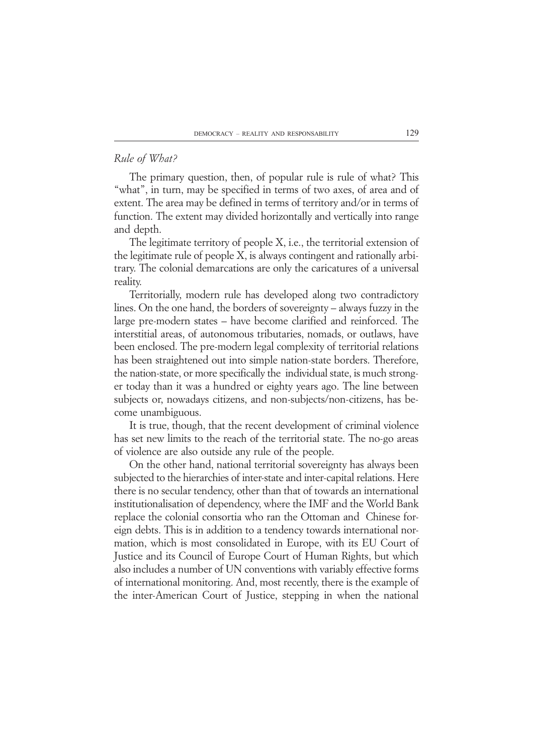# *Rule of What?*

The primary question, then, of popular rule is rule of what? This "what", in turn, may be specified in terms of two axes, of area and of extent. The area may be defined in terms of territory and/or in terms of function. The extent may divided horizontally and vertically into range and depth.

The legitimate territory of people X, i.e., the territorial extension of the legitimate rule of people X, is always contingent and rationally arbitrary. The colonial demarcations are only the caricatures of a universal reality.

Territorially, modern rule has developed along two contradictory lines. On the one hand, the borders of sovereignty – always fuzzy in the large pre-modern states – have become clarified and reinforced. The interstitial areas, of autonomous tributaries, nomads, or outlaws, have been enclosed. The pre-modern legal complexity of territorial relations has been straightened out into simple nation-state borders. Therefore, the nation-state, or more specifically the individual state, is much stronger today than it was a hundred or eighty years ago. The line between subjects or, nowadays citizens, and non-subjects/non-citizens, has become unambiguous.

It is true, though, that the recent development of criminal violence has set new limits to the reach of the territorial state. The no-go areas of violence are also outside any rule of the people.

On the other hand, national territorial sovereignty has always been subjected to the hierarchies of inter-state and inter-capital relations. Here there is no secular tendency, other than that of towards an international institutionalisation of dependency, where the IMF and the World Bank replace the colonial consortia who ran the Ottoman and Chinese foreign debts. This is in addition to a tendency towards international normation, which is most consolidated in Europe, with its EU Court of Justice and its Council of Europe Court of Human Rights, but which also includes a number of UN conventions with variably effective forms of international monitoring. And, most recently, there is the example of the inter-American Court of Justice, stepping in when the national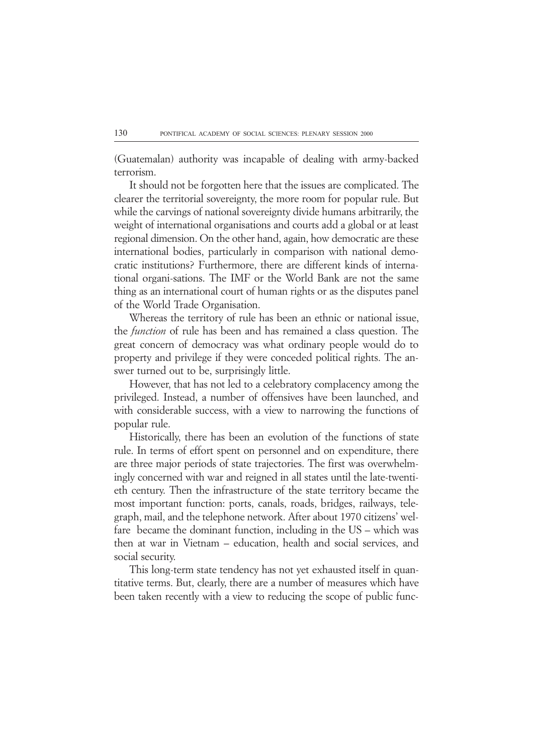(Guatemalan) authority was incapable of dealing with army-backed terrorism.

It should not be forgotten here that the issues are complicated. The clearer the territorial sovereignty, the more room for popular rule. But while the carvings of national sovereignty divide humans arbitrarily, the weight of international organisations and courts add a global or at least regional dimension. On the other hand, again, how democratic are these international bodies, particularly in comparison with national democratic institutions? Furthermore, there are different kinds of international organi-sations. The IMF or the World Bank are not the same thing as an international court of human rights or as the disputes panel of the World Trade Organisation.

Whereas the territory of rule has been an ethnic or national issue, the *function* of rule has been and has remained a class question. The great concern of democracy was what ordinary people would do to property and privilege if they were conceded political rights. The answer turned out to be, surprisingly little.

However, that has not led to a celebratory complacency among the privileged. Instead, a number of offensives have been launched, and with considerable success, with a view to narrowing the functions of popular rule.

Historically, there has been an evolution of the functions of state rule. In terms of effort spent on personnel and on expenditure, there are three major periods of state trajectories. The first was overwhelmingly concerned with war and reigned in all states until the late-twentieth century. Then the infrastructure of the state territory became the most important function: ports, canals, roads, bridges, railways, telegraph, mail, and the telephone network. After about 1970 citizens' welfare became the dominant function, including in the US – which was then at war in Vietnam – education, health and social services, and social security.

This long-term state tendency has not yet exhausted itself in quantitative terms. But, clearly, there are a number of measures which have been taken recently with a view to reducing the scope of public func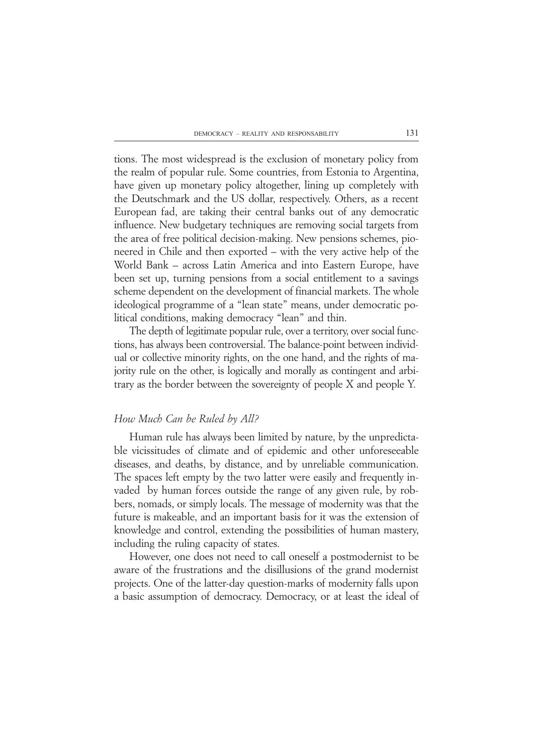tions. The most widespread is the exclusion of monetary policy from the realm of popular rule. Some countries, from Estonia to Argentina, have given up monetary policy altogether, lining up completely with the Deutschmark and the US dollar, respectively. Others, as a recent European fad, are taking their central banks out of any democratic influence. New budgetary techniques are removing social targets from the area of free political decision-making. New pensions schemes, pioneered in Chile and then exported – with the very active help of the World Bank – across Latin America and into Eastern Europe, have been set up, turning pensions from a social entitlement to a savings scheme dependent on the development of financial markets. The whole ideological programme of a "lean state" means, under democratic political conditions, making democracy "lean" and thin.

The depth of legitimate popular rule, over a territory, over social functions, has always been controversial. The balance-point between individual or collective minority rights, on the one hand, and the rights of majority rule on the other, is logically and morally as contingent and arbitrary as the border between the sovereignty of people X and people Y.

## *How Much Can be Ruled by All?*

Human rule has always been limited by nature, by the unpredictable vicissitudes of climate and of epidemic and other unforeseeable diseases, and deaths, by distance, and by unreliable communication. The spaces left empty by the two latter were easily and frequently invaded by human forces outside the range of any given rule, by robbers, nomads, or simply locals. The message of modernity was that the future is makeable, and an important basis for it was the extension of knowledge and control, extending the possibilities of human mastery, including the ruling capacity of states.

However, one does not need to call oneself a postmodernist to be aware of the frustrations and the disillusions of the grand modernist projects. One of the latter-day question-marks of modernity falls upon a basic assumption of democracy. Democracy, or at least the ideal of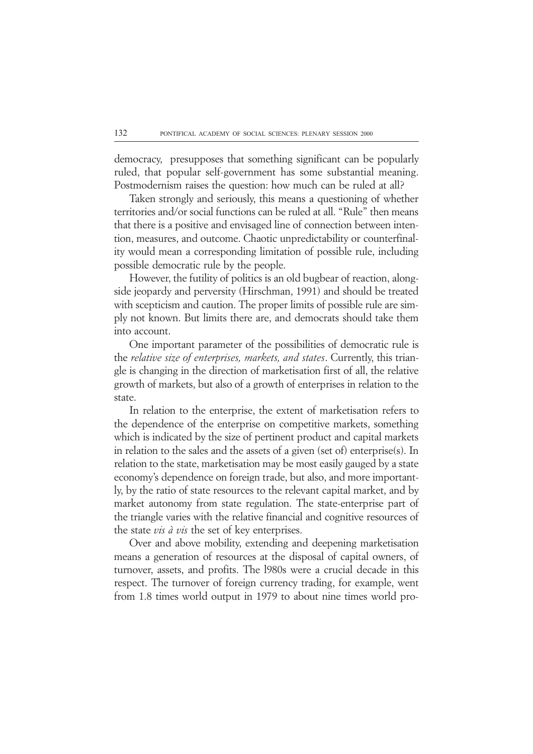democracy, presupposes that something significant can be popularly ruled, that popular self-government has some substantial meaning. Postmodernism raises the question: how much can be ruled at all?

Taken strongly and seriously, this means a questioning of whether territories and/or social functions can be ruled at all. "Rule" then means that there is a positive and envisaged line of connection between intention, measures, and outcome. Chaotic unpredictability or counterfinality would mean a corresponding limitation of possible rule, including possible democratic rule by the people.

However, the futility of politics is an old bugbear of reaction, alongside jeopardy and perversity (Hirschman, 1991) and should be treated with scepticism and caution. The proper limits of possible rule are simply not known. But limits there are, and democrats should take them into account.

One important parameter of the possibilities of democratic rule is the *relative size of enterprises, markets, and states*. Currently, this triangle is changing in the direction of marketisation first of all, the relative growth of markets, but also of a growth of enterprises in relation to the state.

In relation to the enterprise, the extent of marketisation refers to the dependence of the enterprise on competitive markets, something which is indicated by the size of pertinent product and capital markets in relation to the sales and the assets of a given (set of) enterprise(s). In relation to the state, marketisation may be most easily gauged by a state economy's dependence on foreign trade, but also, and more importantly, by the ratio of state resources to the relevant capital market, and by market autonomy from state regulation. The state-enterprise part of the triangle varies with the relative financial and cognitive resources of the state *vis à vis* the set of key enterprises.

Over and above mobility, extending and deepening marketisation means a generation of resources at the disposal of capital owners, of turnover, assets, and profits. The l980s were a crucial decade in this respect. The turnover of foreign currency trading, for example, went from 1.8 times world output in 1979 to about nine times world pro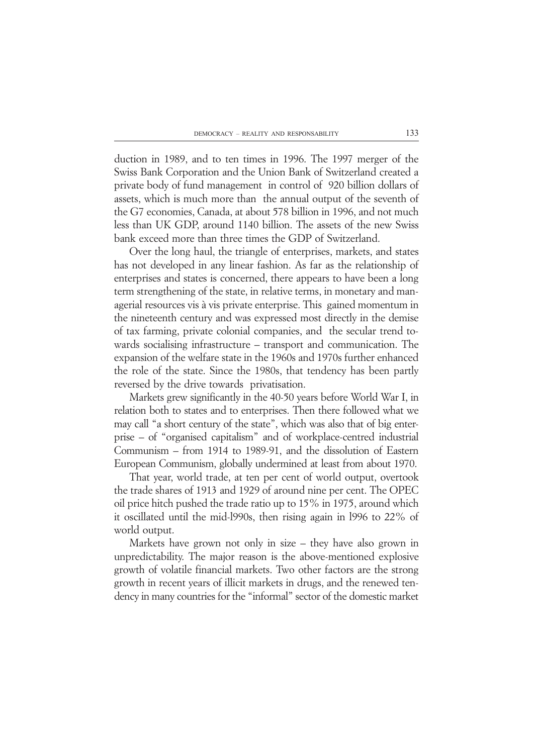duction in 1989, and to ten times in 1996. The 1997 merger of the Swiss Bank Corporation and the Union Bank of Switzerland created a private body of fund management in control of 920 billion dollars of assets, which is much more than the annual output of the seventh of the G7 economies, Canada, at about 578 billion in 1996, and not much less than UK GDP, around 1140 billion. The assets of the new Swiss bank exceed more than three times the GDP of Switzerland.

Over the long haul, the triangle of enterprises, markets, and states has not developed in any linear fashion. As far as the relationship of enterprises and states is concerned, there appears to have been a long term strengthening of the state, in relative terms, in monetary and managerial resources vis à vis private enterprise. This gained momentum in the nineteenth century and was expressed most directly in the demise of tax farming, private colonial companies, and the secular trend towards socialising infrastructure – transport and communication. The expansion of the welfare state in the 1960s and 1970s further enhanced the role of the state. Since the 1980s, that tendency has been partly reversed by the drive towards privatisation.

Markets grew significantly in the 40-50 years before World War I, in relation both to states and to enterprises. Then there followed what we may call "a short century of the state", which was also that of big enterprise – of "organised capitalism" and of workplace-centred industrial Communism – from 1914 to 1989-91, and the dissolution of Eastern European Communism, globally undermined at least from about 1970.

That year, world trade, at ten per cent of world output, overtook the trade shares of 1913 and 1929 of around nine per cent. The OPEC oil price hitch pushed the trade ratio up to 15% in 1975, around which it oscillated until the mid-l990s, then rising again in l996 to 22% of world output.

Markets have grown not only in size – they have also grown in unpredictability. The major reason is the above-mentioned explosive growth of volatile financial markets. Two other factors are the strong growth in recent years of illicit markets in drugs, and the renewed tendency in many countries for the "informal" sector of the domestic market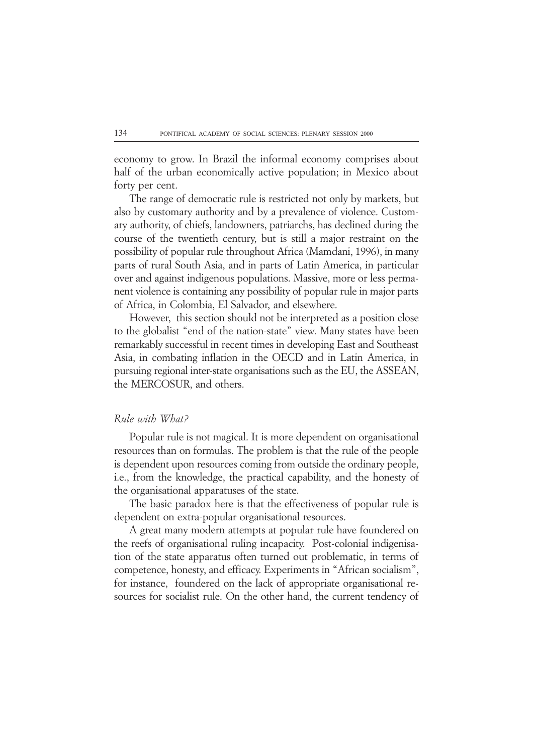economy to grow. In Brazil the informal economy comprises about half of the urban economically active population; in Mexico about forty per cent.

The range of democratic rule is restricted not only by markets, but also by customary authority and by a prevalence of violence. Customary authority, of chiefs, landowners, patriarchs, has declined during the course of the twentieth century, but is still a major restraint on the possibility of popular rule throughout Africa (Mamdani, 1996), in many parts of rural South Asia, and in parts of Latin America, in particular over and against indigenous populations. Massive, more or less permanent violence is containing any possibility of popular rule in major parts of Africa, in Colombia, El Salvador, and elsewhere.

However, this section should not be interpreted as a position close to the globalist "end of the nation-state" view. Many states have been remarkably successful in recent times in developing East and Southeast Asia, in combating inflation in the OECD and in Latin America, in pursuing regional inter-state organisations such as the EU, the ASSEAN, the MERCOSUR, and others.

## *Rule with What?*

Popular rule is not magical. It is more dependent on organisational resources than on formulas. The problem is that the rule of the people is dependent upon resources coming from outside the ordinary people, i.e., from the knowledge, the practical capability, and the honesty of the organisational apparatuses of the state.

The basic paradox here is that the effectiveness of popular rule is dependent on extra-popular organisational resources.

A great many modern attempts at popular rule have foundered on the reefs of organisational ruling incapacity. Post-colonial indigenisation of the state apparatus often turned out problematic, in terms of competence, honesty, and efficacy. Experiments in "African socialism", for instance, foundered on the lack of appropriate organisational resources for socialist rule. On the other hand, the current tendency of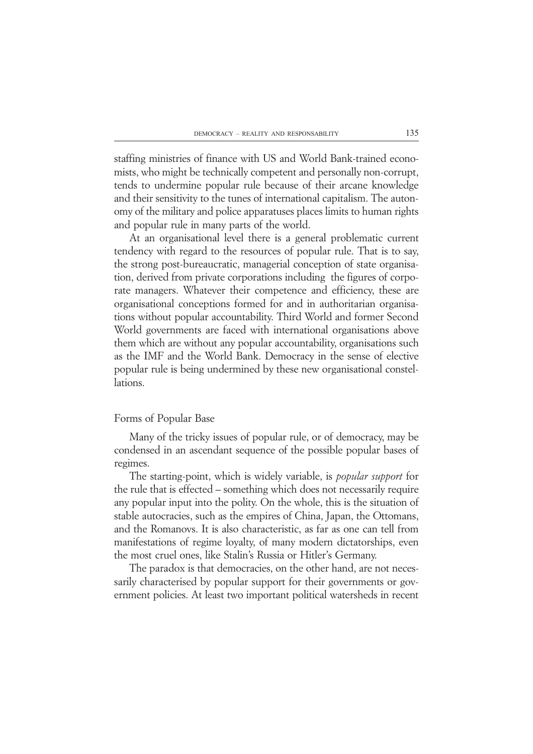staffing ministries of finance with US and World Bank-trained economists, who might be technically competent and personally non-corrupt, tends to undermine popular rule because of their arcane knowledge and their sensitivity to the tunes of international capitalism. The autonomy of the military and police apparatuses places limits to human rights and popular rule in many parts of the world.

At an organisational level there is a general problematic current tendency with regard to the resources of popular rule. That is to say, the strong post-bureaucratic, managerial conception of state organisation, derived from private corporations including the figures of corporate managers. Whatever their competence and efficiency, these are organisational conceptions formed for and in authoritarian organisations without popular accountability. Third World and former Second World governments are faced with international organisations above them which are without any popular accountability, organisations such as the IMF and the World Bank. Democracy in the sense of elective popular rule is being undermined by these new organisational constellations.

### Forms of Popular Base

Many of the tricky issues of popular rule, or of democracy, may be condensed in an ascendant sequence of the possible popular bases of regimes.

The starting-point, which is widely variable, is *popular support* for the rule that is effected – something which does not necessarily require any popular input into the polity. On the whole, this is the situation of stable autocracies, such as the empires of China, Japan, the Ottomans, and the Romanovs. It is also characteristic, as far as one can tell from manifestations of regime loyalty, of many modern dictatorships, even the most cruel ones, like Stalin's Russia or Hitler's Germany.

The paradox is that democracies, on the other hand, are not necessarily characterised by popular support for their governments or government policies. At least two important political watersheds in recent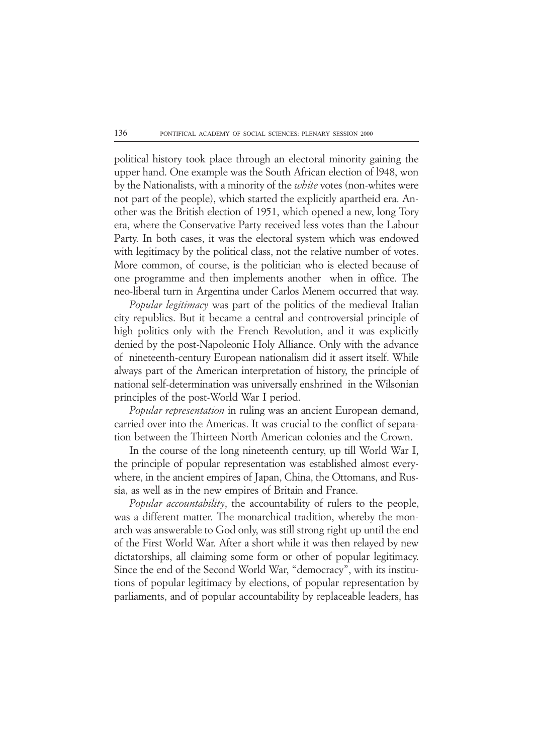political history took place through an electoral minority gaining the upper hand. One example was the South African election of l948, won by the Nationalists, with a minority of the *white* votes (non-whites were not part of the people), which started the explicitly apartheid era. Another was the British election of 1951, which opened a new, long Tory era, where the Conservative Party received less votes than the Labour Party. In both cases, it was the electoral system which was endowed with legitimacy by the political class, not the relative number of votes. More common, of course, is the politician who is elected because of one programme and then implements another when in office. The neo-liberal turn in Argentina under Carlos Menem occurred that way.

*Popular legitimacy* was part of the politics of the medieval Italian city republics. But it became a central and controversial principle of high politics only with the French Revolution, and it was explicitly denied by the post-Napoleonic Holy Alliance. Only with the advance of nineteenth-century European nationalism did it assert itself. While always part of the American interpretation of history, the principle of national self-determination was universally enshrined in the Wilsonian principles of the post-World War I period.

*Popular representation* in ruling was an ancient European demand, carried over into the Americas. It was crucial to the conflict of separation between the Thirteen North American colonies and the Crown.

In the course of the long nineteenth century, up till World War I, the principle of popular representation was established almost everywhere, in the ancient empires of Japan, China, the Ottomans, and Russia, as well as in the new empires of Britain and France.

*Popular accountability*, the accountability of rulers to the people, was a different matter. The monarchical tradition, whereby the monarch was answerable to God only, was still strong right up until the end of the First World War. After a short while it was then relayed by new dictatorships, all claiming some form or other of popular legitimacy. Since the end of the Second World War, "democracy", with its institutions of popular legitimacy by elections, of popular representation by parliaments, and of popular accountability by replaceable leaders, has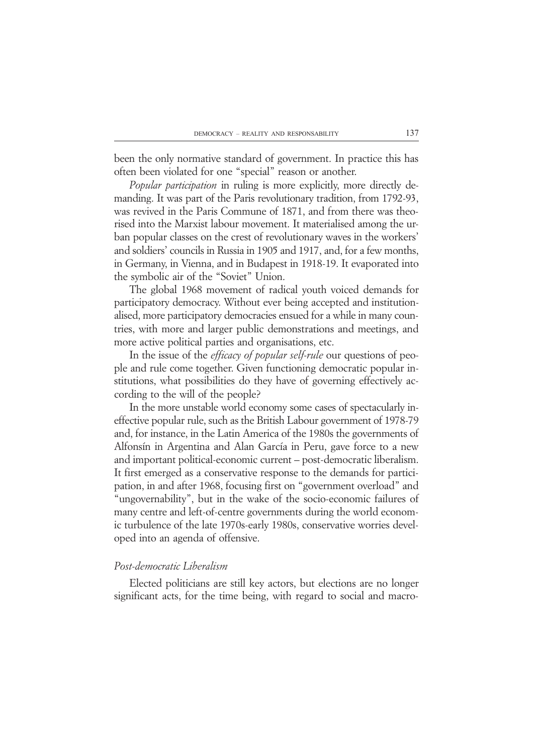been the only normative standard of government. In practice this has often been violated for one "special" reason or another.

*Popular participation* in ruling is more explicitly, more directly demanding. It was part of the Paris revolutionary tradition, from 1792-93, was revived in the Paris Commune of 1871, and from there was theorised into the Marxist labour movement. It materialised among the urban popular classes on the crest of revolutionary waves in the workers' and soldiers' councils in Russia in 1905 and 1917, and, for a few months, in Germany, in Vienna, and in Budapest in 1918-19. It evaporated into the symbolic air of the "Soviet" Union.

The global 1968 movement of radical youth voiced demands for participatory democracy. Without ever being accepted and institutionalised, more participatory democracies ensued for a while in many countries, with more and larger public demonstrations and meetings, and more active political parties and organisations, etc.

In the issue of the *efficacy of popular self-rule* our questions of people and rule come together. Given functioning democratic popular institutions, what possibilities do they have of governing effectively according to the will of the people?

In the more unstable world economy some cases of spectacularly ineffective popular rule, such as the British Labour government of 1978-79 and, for instance, in the Latin America of the 1980s the governments of Alfonsín in Argentina and Alan García in Peru, gave force to a new and important political-economic current – post-democratic liberalism. It first emerged as a conservative response to the demands for participation, in and after 1968, focusing first on "government overload" and "ungovernability", but in the wake of the socio-economic failures of many centre and left-of-centre governments during the world economic turbulence of the late 1970s-early 1980s, conservative worries developed into an agenda of offensive.

# *Post-democratic Liberalism*

Elected politicians are still key actors, but elections are no longer significant acts, for the time being, with regard to social and macro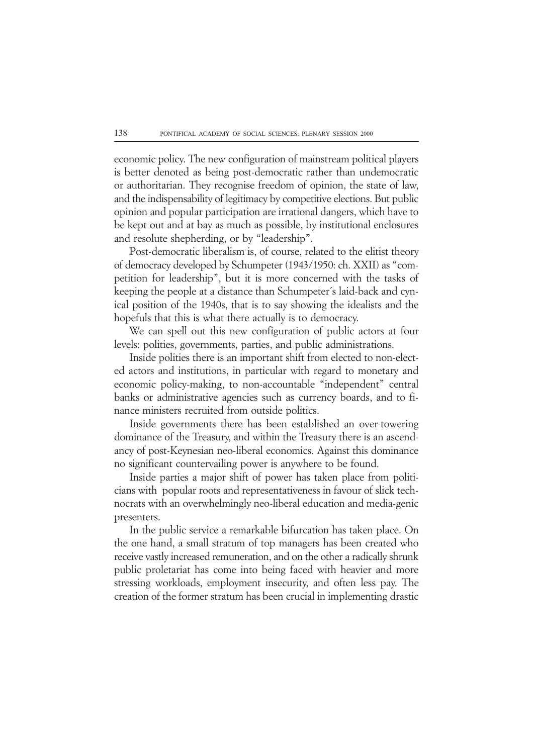economic policy. The new configuration of mainstream political players is better denoted as being post-democratic rather than undemocratic or authoritarian. They recognise freedom of opinion, the state of law, and the indispensability of legitimacy by competitive elections. But public opinion and popular participation are irrational dangers, which have to be kept out and at bay as much as possible, by institutional enclosures and resolute shepherding, or by "leadership".

Post-democratic liberalism is, of course, related to the elitist theory of democracy developed by Schumpeter (1943/1950: ch. XXII) as "competition for leadership", but it is more concerned with the tasks of keeping the people at a distance than Schumpeter´s laid-back and cynical position of the 1940s, that is to say showing the idealists and the hopefuls that this is what there actually is to democracy.

We can spell out this new configuration of public actors at four levels: polities, governments, parties, and public administrations.

Inside polities there is an important shift from elected to non-elected actors and institutions, in particular with regard to monetary and economic policy-making, to non-accountable "independent" central banks or administrative agencies such as currency boards, and to finance ministers recruited from outside politics.

Inside governments there has been established an over-towering dominance of the Treasury, and within the Treasury there is an ascendancy of post-Keynesian neo-liberal economics. Against this dominance no significant countervailing power is anywhere to be found.

Inside parties a major shift of power has taken place from politicians with popular roots and representativeness in favour of slick technocrats with an overwhelmingly neo-liberal education and media-genic presenters.

In the public service a remarkable bifurcation has taken place. On the one hand, a small stratum of top managers has been created who receive vastly increased remuneration, and on the other a radically shrunk public proletariat has come into being faced with heavier and more stressing workloads, employment insecurity, and often less pay. The creation of the former stratum has been crucial in implementing drastic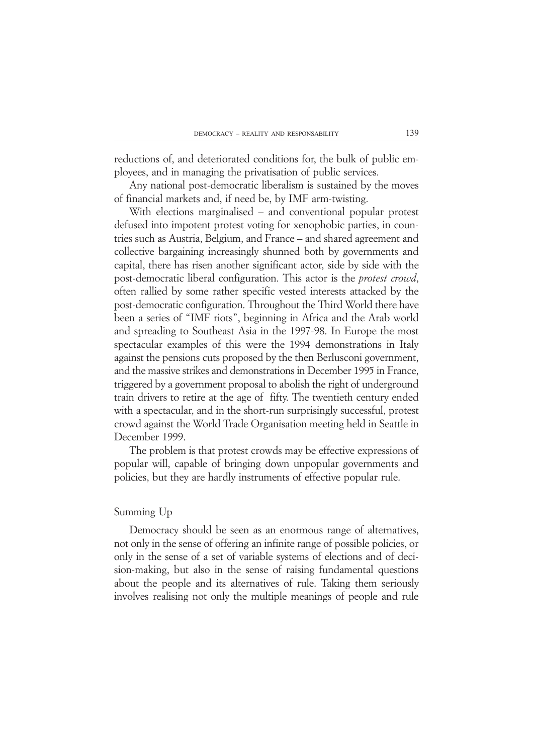reductions of, and deteriorated conditions for, the bulk of public employees, and in managing the privatisation of public services.

Any national post-democratic liberalism is sustained by the moves of financial markets and, if need be, by IMF arm-twisting.

With elections marginalised – and conventional popular protest defused into impotent protest voting for xenophobic parties, in countries such as Austria, Belgium, and France – and shared agreement and collective bargaining increasingly shunned both by governments and capital, there has risen another significant actor, side by side with the post-democratic liberal configuration. This actor is the *protest crowd*, often rallied by some rather specific vested interests attacked by the post-democratic configuration. Throughout the Third World there have been a series of "IMF riots", beginning in Africa and the Arab world and spreading to Southeast Asia in the 1997-98. In Europe the most spectacular examples of this were the 1994 demonstrations in Italy against the pensions cuts proposed by the then Berlusconi government, and the massive strikes and demonstrations in December 1995 in France, triggered by a government proposal to abolish the right of underground train drivers to retire at the age of fifty. The twentieth century ended with a spectacular, and in the short-run surprisingly successful, protest crowd against the World Trade Organisation meeting held in Seattle in December 1999.

The problem is that protest crowds may be effective expressions of popular will, capable of bringing down unpopular governments and policies, but they are hardly instruments of effective popular rule.

#### Summing Up

Democracy should be seen as an enormous range of alternatives, not only in the sense of offering an infinite range of possible policies, or only in the sense of a set of variable systems of elections and of decision-making, but also in the sense of raising fundamental questions about the people and its alternatives of rule. Taking them seriously involves realising not only the multiple meanings of people and rule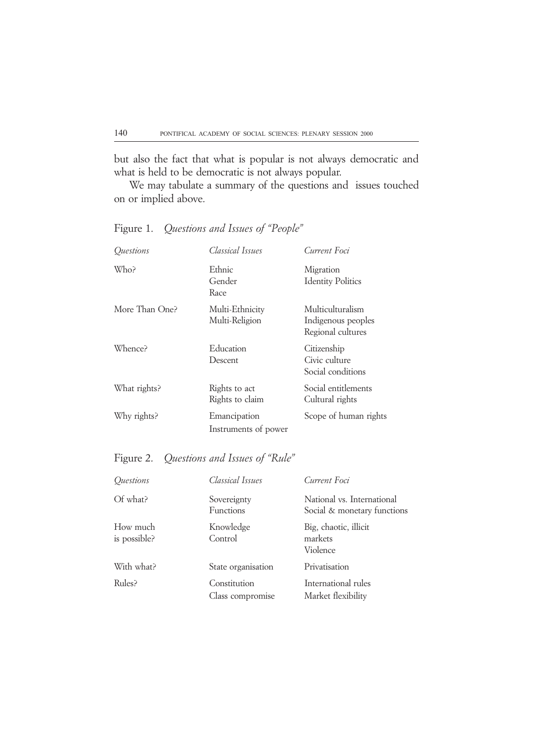but also the fact that what is popular is not always democratic and what is held to be democratic is not always popular.

We may tabulate a summary of the questions and issues touched on or implied above.

Figure 1. *Questions and Issues of "People"*

| Ouestions      | Classical Issues                     | Current Foci                                                |
|----------------|--------------------------------------|-------------------------------------------------------------|
| Who?           | Ethnic<br>Gender<br>Race             | Migration<br><b>Identity Politics</b>                       |
| More Than One? | Multi-Ethnicity<br>Multi-Religion    | Multiculturalism<br>Indigenous peoples<br>Regional cultures |
| Whence?        | Education<br>Descent                 | Citizenship<br>Civic culture<br>Social conditions           |
| What rights?   | Rights to act<br>Rights to claim     | Social entitlements<br>Cultural rights                      |
| Why rights?    | Emancipation<br>Instruments of power | Scope of human rights                                       |

# Figure 2. *Questions and Issues of "Rule"*

| Questions                | Classical Issues                 | Current Foci                                              |
|--------------------------|----------------------------------|-----------------------------------------------------------|
| Of what?                 | Sovereignty<br><b>Functions</b>  | National vs. International<br>Social & monetary functions |
| How much<br>is possible? | Knowledge<br>Control             | Big, chaotic, illicit<br>markets<br>Violence              |
| With what?               | State organisation               | Privatisation                                             |
| Rules?                   | Constitution<br>Class compromise | International rules<br>Market flexibility                 |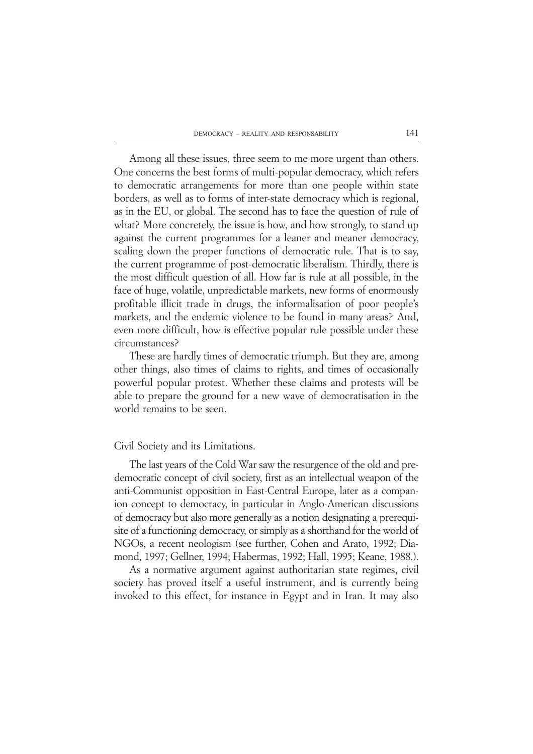Among all these issues, three seem to me more urgent than others. One concerns the best forms of multi-popular democracy, which refers to democratic arrangements for more than one people within state borders, as well as to forms of inter-state democracy which is regional, as in the EU, or global. The second has to face the question of rule of what? More concretely, the issue is how, and how strongly, to stand up against the current programmes for a leaner and meaner democracy, scaling down the proper functions of democratic rule. That is to say, the current programme of post-democratic liberalism. Thirdly, there is the most difficult question of all. How far is rule at all possible, in the face of huge, volatile, unpredictable markets, new forms of enormously profitable illicit trade in drugs, the informalisation of poor people's markets, and the endemic violence to be found in many areas? And, even more difficult, how is effective popular rule possible under these circumstances?

These are hardly times of democratic triumph. But they are, among other things, also times of claims to rights, and times of occasionally powerful popular protest. Whether these claims and protests will be able to prepare the ground for a new wave of democratisation in the world remains to be seen.

### Civil Society and its Limitations.

The last years of the Cold War saw the resurgence of the old and predemocratic concept of civil society, first as an intellectual weapon of the anti-Communist opposition in East-Central Europe, later as a companion concept to democracy, in particular in Anglo-American discussions of democracy but also more generally as a notion designating a prerequisite of a functioning democracy, or simply as a shorthand for the world of NGOs, a recent neologism (see further, Cohen and Arato, 1992; Diamond, 1997; Gellner, 1994; Habermas, 1992; Hall, 1995; Keane, 1988.).

As a normative argument against authoritarian state regimes, civil society has proved itself a useful instrument, and is currently being invoked to this effect, for instance in Egypt and in Iran. It may also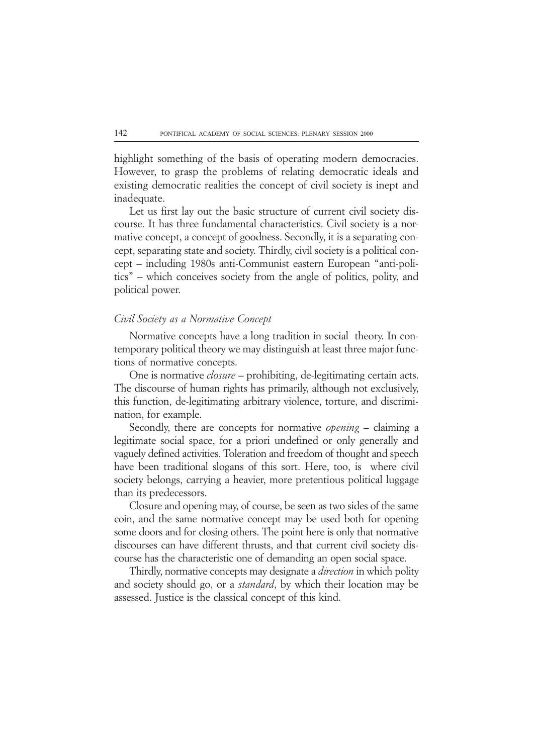highlight something of the basis of operating modern democracies. However, to grasp the problems of relating democratic ideals and existing democratic realities the concept of civil society is inept and inadequate.

Let us first lay out the basic structure of current civil society discourse. It has three fundamental characteristics. Civil society is a normative concept, a concept of goodness. Secondly, it is a separating concept, separating state and society. Thirdly, civil society is a political concept – including 1980s anti-Communist eastern European "anti-politics" – which conceives society from the angle of politics, polity, and political power.

### *Civil Society as a Normative Concept*

Normative concepts have a long tradition in social theory. In contemporary political theory we may distinguish at least three major functions of normative concepts.

One is normative *closure* – prohibiting, de-legitimating certain acts. The discourse of human rights has primarily, although not exclusively, this function, de-legitimating arbitrary violence, torture, and discrimination, for example.

Secondly, there are concepts for normative *opening* – claiming a legitimate social space, for a priori undefined or only generally and vaguely defined activities. Toleration and freedom of thought and speech have been traditional slogans of this sort. Here, too, is where civil society belongs, carrying a heavier, more pretentious political luggage than its predecessors.

Closure and opening may, of course, be seen as two sides of the same coin, and the same normative concept may be used both for opening some doors and for closing others. The point here is only that normative discourses can have different thrusts, and that current civil society discourse has the characteristic one of demanding an open social space.

Thirdly, normative concepts may designate a *direction* in which polity and society should go, or a *standard*, by which their location may be assessed. Justice is the classical concept of this kind.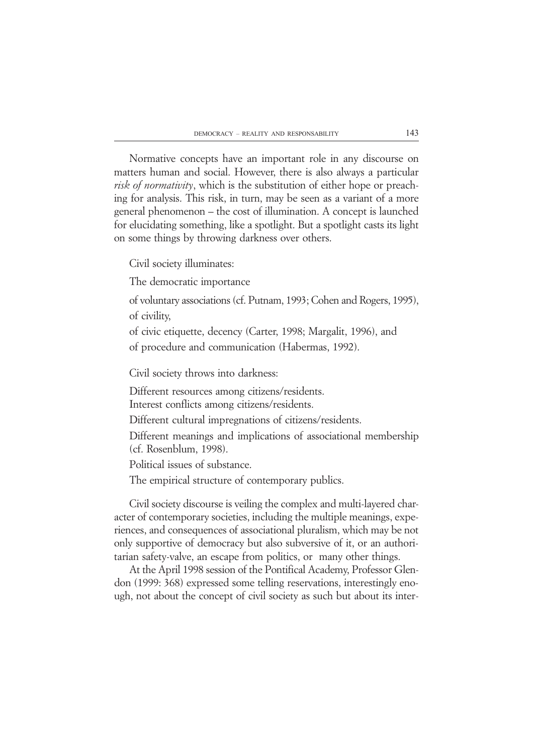Normative concepts have an important role in any discourse on matters human and social. However, there is also always a particular *risk of normativity*, which is the substitution of either hope or preaching for analysis. This risk, in turn, may be seen as a variant of a more general phenomenon – the cost of illumination. A concept is launched for elucidating something, like a spotlight. But a spotlight casts its light on some things by throwing darkness over others.

Civil society illuminates:

The democratic importance

of voluntary associations (cf. Putnam, 1993; Cohen and Rogers, 1995), of civility,

of civic etiquette, decency (Carter, 1998; Margalit, 1996), and of procedure and communication (Habermas, 1992).

Civil society throws into darkness:

Different resources among citizens/residents.

Interest conflicts among citizens/residents.

Different cultural impregnations of citizens/residents.

Different meanings and implications of associational membership (cf. Rosenblum, 1998).

Political issues of substance.

The empirical structure of contemporary publics.

Civil society discourse is veiling the complex and multi-layered character of contemporary societies, including the multiple meanings, experiences, and consequences of associational pluralism, which may be not only supportive of democracy but also subversive of it, or an authoritarian safety-valve, an escape from politics, or many other things.

At the April 1998 session of the Pontifical Academy, Professor Glendon (1999: 368) expressed some telling reservations, interestingly enough, not about the concept of civil society as such but about its inter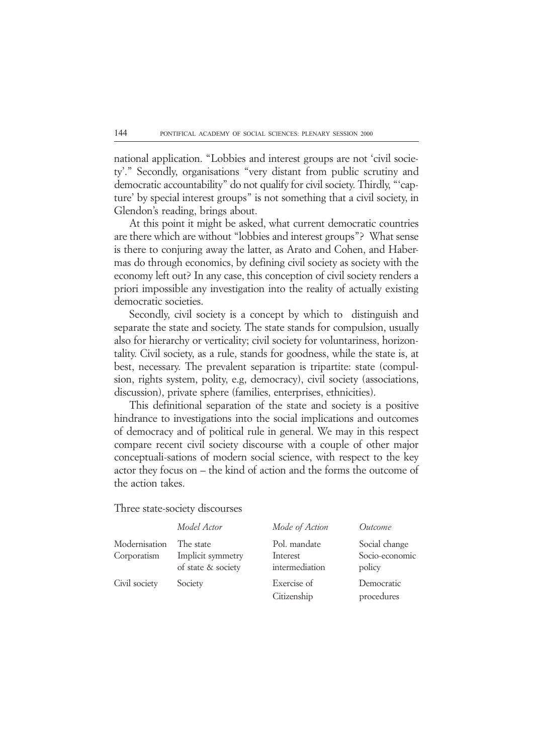national application. "Lobbies and interest groups are not 'civil society'." Secondly, organisations "very distant from public scrutiny and democratic accountability" do not qualify for civil society. Thirdly, "'capture' by special interest groups" is not something that a civil society, in Glendon's reading, brings about.

At this point it might be asked, what current democratic countries are there which are without "lobbies and interest groups"? What sense is there to conjuring away the latter, as Arato and Cohen, and Habermas do through economics, by defining civil society as society with the economy left out? In any case, this conception of civil society renders a priori impossible any investigation into the reality of actually existing democratic societies.

Secondly, civil society is a concept by which to distinguish and separate the state and society. The state stands for compulsion, usually also for hierarchy or verticality; civil society for voluntariness, horizontality. Civil society, as a rule, stands for goodness, while the state is, at best, necessary. The prevalent separation is tripartite: state (compulsion, rights system, polity, e.g, democracy), civil society (associations, discussion), private sphere (families, enterprises, ethnicities).

This definitional separation of the state and society is a positive hindrance to investigations into the social implications and outcomes of democracy and of political rule in general. We may in this respect compare recent civil society discourse with a couple of other major conceptuali-sations of modern social science, with respect to the key actor they focus on – the kind of action and the forms the outcome of the action takes.

Three state-society discourses

|                              | Model Actor                                          | Mode of Action                             | Outcome                                   |
|------------------------------|------------------------------------------------------|--------------------------------------------|-------------------------------------------|
| Modernisation<br>Corporatism | The state<br>Implicit symmetry<br>of state & society | Pol. mandate<br>Interest<br>intermediation | Social change<br>Socio-economic<br>policy |
| Civil society                | Society                                              | Exercise of<br>Citizenship                 | Democratic<br>procedures                  |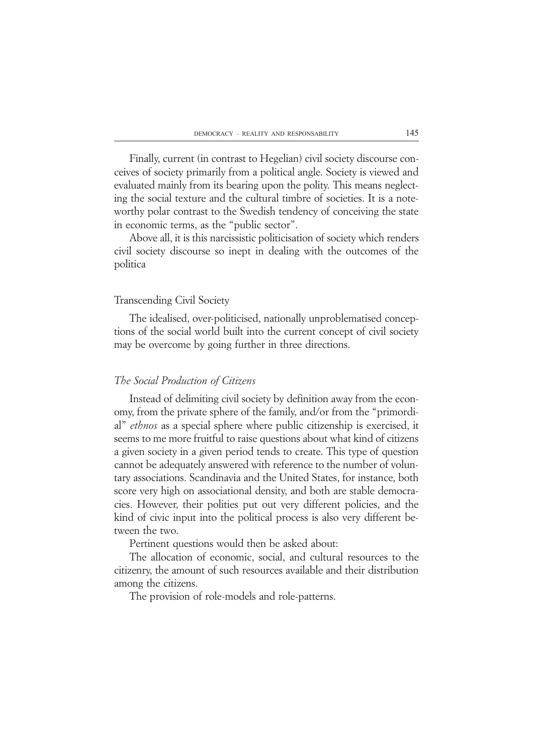Finally, current (in contrast to Hegelian) civil society discourse conceives of society primarily from a political angle. Society is viewed and evaluated mainly from its bearing upon the polity. This means neglecting the social texture and the cultural timbre of societies. It is a noteworthy polar contrast to the Swedish tendency of conceiving the state in economic terms, as the "public sector".

Above all, it is this narcissistic politicisation of society which renders civil society discourse so inept in dealing with the outcomes of the politica

### Transcending Civil Society

The idealised, over-politicised, nationally unproblematised conceptions of the social world built into the current concept of civil society may be overcome by going further in three directions.

## *The Social Production of Citizens*

Instead of delimiting civil society by definition away from the economy, from the private sphere of the family, and/or from the "primordial" *ethnos* as a special sphere where public citizenship is exercised, it seems to me more fruitful to raise questions about what kind of citizens a given society in a given period tends to create. This type of question cannot be adequately answered with reference to the number of voluntary associations. Scandinavia and the United States, for instance, both score very high on associational density, and both are stable democracies. However, their polities put out very different policies, and the kind of civic input into the political process is also very different between the two.

Pertinent questions would then be asked about:

The allocation of economic, social, and cultural resources to the citizenry, the amount of such resources available and their distribution among the citizens.

The provision of role-models and role-patterns.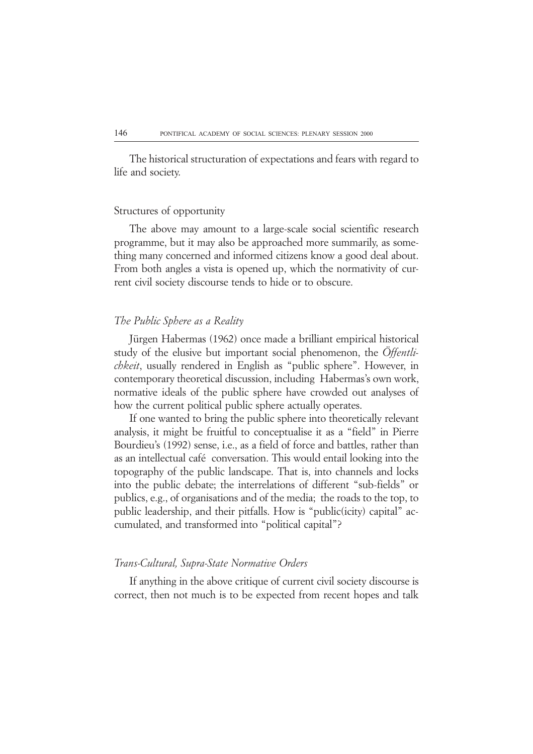The historical structuration of expectations and fears with regard to life and society.

### Structures of opportunity

The above may amount to a large-scale social scientific research programme, but it may also be approached more summarily, as something many concerned and informed citizens know a good deal about. From both angles a vista is opened up, which the normativity of current civil society discourse tends to hide or to obscure.

### *The Public Sphere as a Reality*

Jürgen Habermas (1962) once made a brilliant empirical historical study of the elusive but important social phenomenon, the *Öffentlichkeit*, usually rendered in English as "public sphere". However, in contemporary theoretical discussion, including Habermas's own work, normative ideals of the public sphere have crowded out analyses of how the current political public sphere actually operates.

If one wanted to bring the public sphere into theoretically relevant analysis, it might be fruitful to conceptualise it as a "field" in Pierre Bourdieu's (1992) sense, i.e., as a field of force and battles, rather than as an intellectual café conversation. This would entail looking into the topography of the public landscape. That is, into channels and locks into the public debate; the interrelations of different "sub-fields" or publics, e.g., of organisations and of the media; the roads to the top, to public leadership, and their pitfalls. How is "public(icity) capital" accumulated, and transformed into "political capital"?

### *Trans-Cultural, Supra-State Normative Orders*

If anything in the above critique of current civil society discourse is correct, then not much is to be expected from recent hopes and talk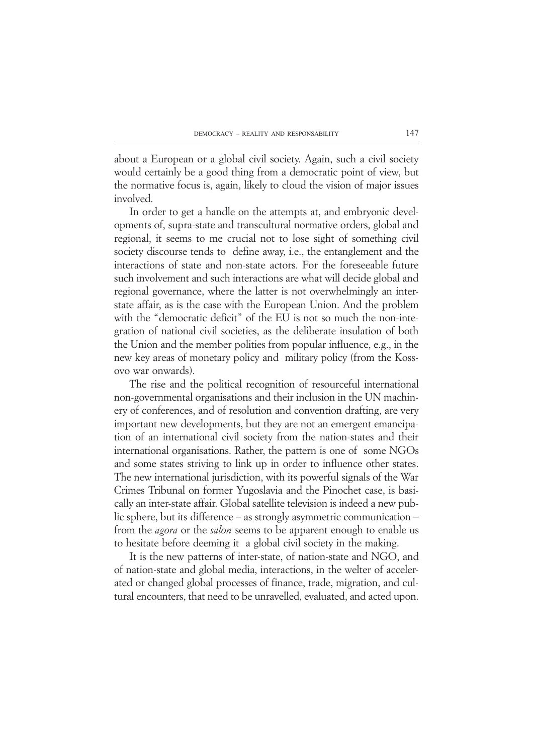about a European or a global civil society. Again, such a civil society would certainly be a good thing from a democratic point of view, but the normative focus is, again, likely to cloud the vision of major issues involved.

In order to get a handle on the attempts at, and embryonic developments of, supra-state and transcultural normative orders, global and regional, it seems to me crucial not to lose sight of something civil society discourse tends to define away, i.e., the entanglement and the interactions of state and non-state actors. For the foreseeable future such involvement and such interactions are what will decide global and regional governance, where the latter is not overwhelmingly an interstate affair, as is the case with the European Union. And the problem with the "democratic deficit" of the EU is not so much the non-integration of national civil societies, as the deliberate insulation of both the Union and the member polities from popular influence, e.g., in the new key areas of monetary policy and military policy (from the Kossovo war onwards).

The rise and the political recognition of resourceful international non-governmental organisations and their inclusion in the UN machinery of conferences, and of resolution and convention drafting, are very important new developments, but they are not an emergent emancipation of an international civil society from the nation-states and their international organisations. Rather, the pattern is one of some NGOs and some states striving to link up in order to influence other states. The new international jurisdiction, with its powerful signals of the War Crimes Tribunal on former Yugoslavia and the Pinochet case, is basically an inter-state affair. Global satellite television is indeed a new public sphere, but its difference – as strongly asymmetric communication – from the *agora* or the *salon* seems to be apparent enough to enable us to hesitate before deeming it a global civil society in the making.

It is the new patterns of inter-state, of nation-state and NGO, and of nation-state and global media, interactions, in the welter of accelerated or changed global processes of finance, trade, migration, and cultural encounters, that need to be unravelled, evaluated, and acted upon.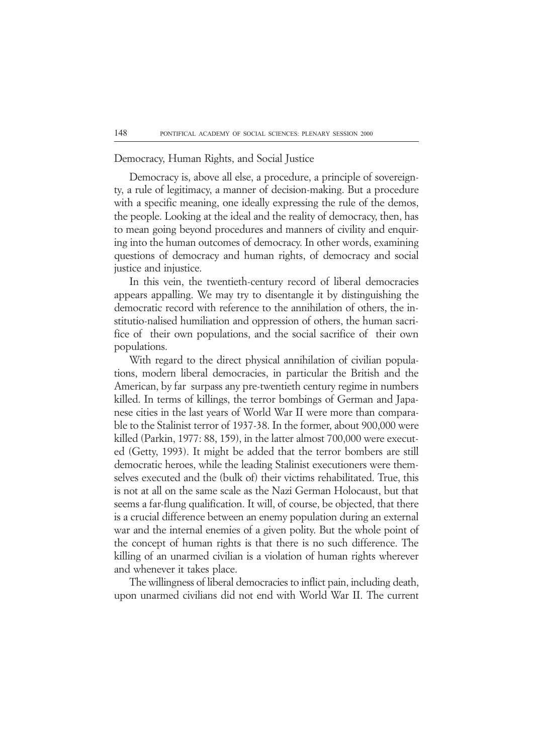### Democracy, Human Rights, and Social Justice

Democracy is, above all else, a procedure, a principle of sovereignty, a rule of legitimacy, a manner of decision-making. But a procedure with a specific meaning, one ideally expressing the rule of the demos, the people. Looking at the ideal and the reality of democracy, then, has to mean going beyond procedures and manners of civility and enquiring into the human outcomes of democracy. In other words, examining questions of democracy and human rights, of democracy and social justice and injustice.

In this vein, the twentieth-century record of liberal democracies appears appalling. We may try to disentangle it by distinguishing the democratic record with reference to the annihilation of others, the institutio-nalised humiliation and oppression of others, the human sacrifice of their own populations, and the social sacrifice of their own populations.

With regard to the direct physical annihilation of civilian populations, modern liberal democracies, in particular the British and the American, by far surpass any pre-twentieth century regime in numbers killed. In terms of killings, the terror bombings of German and Japanese cities in the last years of World War II were more than comparable to the Stalinist terror of 1937-38. In the former, about 900,000 were killed (Parkin, 1977: 88, 159), in the latter almost 700,000 were executed (Getty, 1993). It might be added that the terror bombers are still democratic heroes, while the leading Stalinist executioners were themselves executed and the (bulk of) their victims rehabilitated. True, this is not at all on the same scale as the Nazi German Holocaust, but that seems a far-flung qualification. It will, of course, be objected, that there is a crucial difference between an enemy population during an external war and the internal enemies of a given polity. But the whole point of the concept of human rights is that there is no such difference. The killing of an unarmed civilian is a violation of human rights wherever and whenever it takes place.

The willingness of liberal democracies to inflict pain, including death, upon unarmed civilians did not end with World War II. The current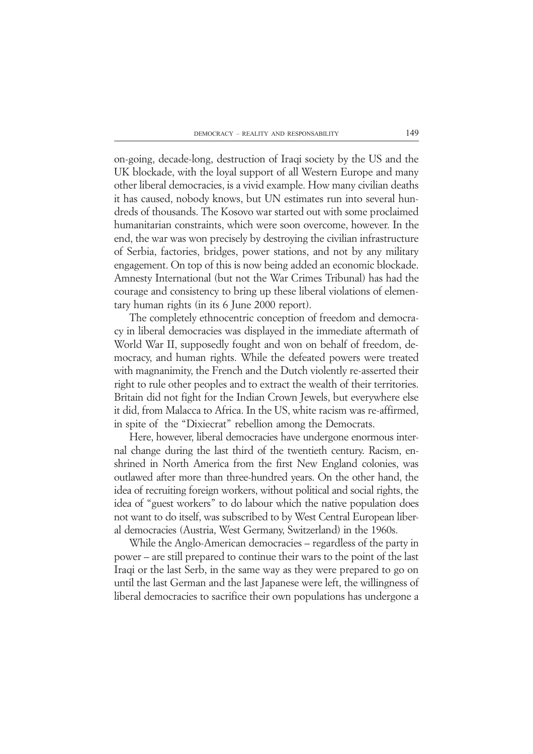on-going, decade-long, destruction of Iraqi society by the US and the UK blockade, with the loyal support of all Western Europe and many other liberal democracies, is a vivid example. How many civilian deaths it has caused, nobody knows, but UN estimates run into several hundreds of thousands. The Kosovo war started out with some proclaimed humanitarian constraints, which were soon overcome, however. In the end, the war was won precisely by destroying the civilian infrastructure of Serbia, factories, bridges, power stations, and not by any military engagement. On top of this is now being added an economic blockade. Amnesty International (but not the War Crimes Tribunal) has had the courage and consistency to bring up these liberal violations of elementary human rights (in its 6 June 2000 report).

The completely ethnocentric conception of freedom and democracy in liberal democracies was displayed in the immediate aftermath of World War II, supposedly fought and won on behalf of freedom, democracy, and human rights. While the defeated powers were treated with magnanimity, the French and the Dutch violently re-asserted their right to rule other peoples and to extract the wealth of their territories. Britain did not fight for the Indian Crown Jewels, but everywhere else it did, from Malacca to Africa. In the US, white racism was re-affirmed, in spite of the "Dixiecrat" rebellion among the Democrats.

Here, however, liberal democracies have undergone enormous internal change during the last third of the twentieth century. Racism, enshrined in North America from the first New England colonies, was outlawed after more than three-hundred years. On the other hand, the idea of recruiting foreign workers, without political and social rights, the idea of "guest workers" to do labour which the native population does not want to do itself, was subscribed to by West Central European liberal democracies (Austria, West Germany, Switzerland) in the 1960s.

While the Anglo-American democracies – regardless of the party in power – are still prepared to continue their wars to the point of the last Iraqi or the last Serb, in the same way as they were prepared to go on until the last German and the last Japanese were left, the willingness of liberal democracies to sacrifice their own populations has undergone a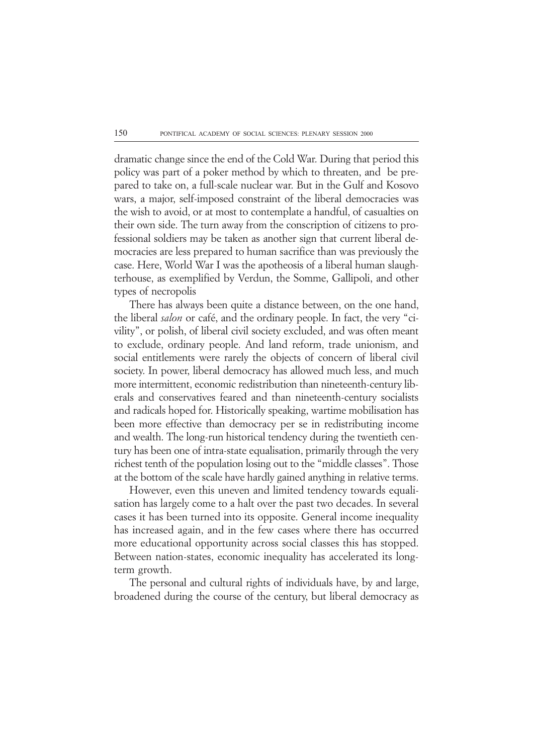dramatic change since the end of the Cold War. During that period this policy was part of a poker method by which to threaten, and be prepared to take on, a full-scale nuclear war. But in the Gulf and Kosovo wars, a major, self-imposed constraint of the liberal democracies was the wish to avoid, or at most to contemplate a handful, of casualties on their own side. The turn away from the conscription of citizens to professional soldiers may be taken as another sign that current liberal democracies are less prepared to human sacrifice than was previously the case. Here, World War I was the apotheosis of a liberal human slaughterhouse, as exemplified by Verdun, the Somme, Gallipoli, and other types of necropolis

There has always been quite a distance between, on the one hand, the liberal *salon* or café, and the ordinary people. In fact, the very "civility", or polish, of liberal civil society excluded, and was often meant to exclude, ordinary people. And land reform, trade unionism, and social entitlements were rarely the objects of concern of liberal civil society. In power, liberal democracy has allowed much less, and much more intermittent, economic redistribution than nineteenth-century liberals and conservatives feared and than nineteenth-century socialists and radicals hoped for. Historically speaking, wartime mobilisation has been more effective than democracy per se in redistributing income and wealth. The long-run historical tendency during the twentieth century has been one of intra-state equalisation, primarily through the very richest tenth of the population losing out to the "middle classes". Those at the bottom of the scale have hardly gained anything in relative terms.

However, even this uneven and limited tendency towards equalisation has largely come to a halt over the past two decades. In several cases it has been turned into its opposite. General income inequality has increased again, and in the few cases where there has occurred more educational opportunity across social classes this has stopped. Between nation-states, economic inequality has accelerated its longterm growth.

The personal and cultural rights of individuals have, by and large, broadened during the course of the century, but liberal democracy as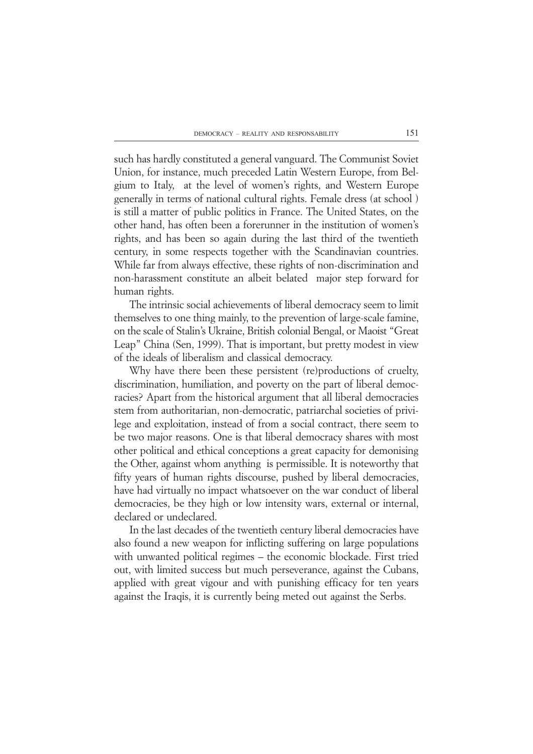such has hardly constituted a general vanguard. The Communist Soviet Union, for instance, much preceded Latin Western Europe, from Belgium to Italy, at the level of women's rights, and Western Europe generally in terms of national cultural rights. Female dress (at school ) is still a matter of public politics in France. The United States, on the other hand, has often been a forerunner in the institution of women's rights, and has been so again during the last third of the twentieth century, in some respects together with the Scandinavian countries. While far from always effective, these rights of non-discrimination and non-harassment constitute an albeit belated major step forward for human rights.

The intrinsic social achievements of liberal democracy seem to limit themselves to one thing mainly, to the prevention of large-scale famine, on the scale of Stalin's Ukraine, British colonial Bengal, or Maoist "Great Leap" China (Sen, 1999). That is important, but pretty modest in view of the ideals of liberalism and classical democracy.

Why have there been these persistent (re)productions of cruelty, discrimination, humiliation, and poverty on the part of liberal democracies? Apart from the historical argument that all liberal democracies stem from authoritarian, non-democratic, patriarchal societies of privilege and exploitation, instead of from a social contract, there seem to be two major reasons. One is that liberal democracy shares with most other political and ethical conceptions a great capacity for demonising the Other, against whom anything is permissible. It is noteworthy that fifty years of human rights discourse, pushed by liberal democracies, have had virtually no impact whatsoever on the war conduct of liberal democracies, be they high or low intensity wars, external or internal, declared or undeclared.

In the last decades of the twentieth century liberal democracies have also found a new weapon for inflicting suffering on large populations with unwanted political regimes – the economic blockade. First tried out, with limited success but much perseverance, against the Cubans, applied with great vigour and with punishing efficacy for ten years against the Iraqis, it is currently being meted out against the Serbs.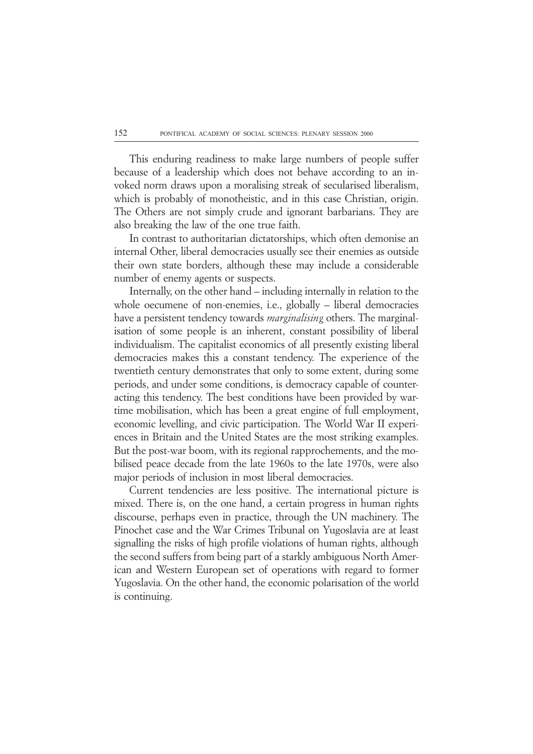This enduring readiness to make large numbers of people suffer because of a leadership which does not behave according to an invoked norm draws upon a moralising streak of secularised liberalism, which is probably of monotheistic, and in this case Christian, origin. The Others are not simply crude and ignorant barbarians. They are also breaking the law of the one true faith.

In contrast to authoritarian dictatorships, which often demonise an internal Other, liberal democracies usually see their enemies as outside their own state borders, although these may include a considerable number of enemy agents or suspects.

Internally, on the other hand – including internally in relation to the whole oecumene of non-enemies, i.e., globally – liberal democracies have a persistent tendency towards *marginalising* others. The marginalisation of some people is an inherent, constant possibility of liberal individualism. The capitalist economics of all presently existing liberal democracies makes this a constant tendency. The experience of the twentieth century demonstrates that only to some extent, during some periods, and under some conditions, is democracy capable of counteracting this tendency. The best conditions have been provided by wartime mobilisation, which has been a great engine of full employment, economic levelling, and civic participation. The World War II experiences in Britain and the United States are the most striking examples. But the post-war boom, with its regional rapprochements, and the mobilised peace decade from the late 1960s to the late 1970s, were also major periods of inclusion in most liberal democracies.

Current tendencies are less positive. The international picture is mixed. There is, on the one hand, a certain progress in human rights discourse, perhaps even in practice, through the UN machinery. The Pinochet case and the War Crimes Tribunal on Yugoslavia are at least signalling the risks of high profile violations of human rights, although the second suffers from being part of a starkly ambiguous North American and Western European set of operations with regard to former Yugoslavia. On the other hand, the economic polarisation of the world is continuing.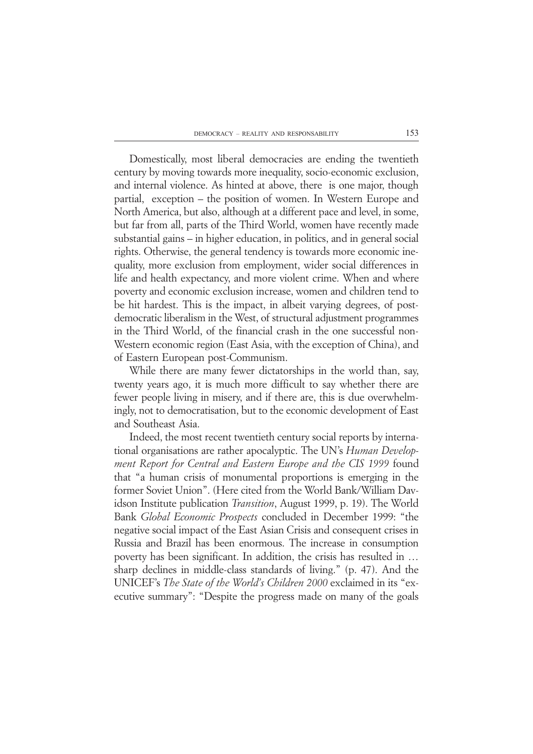Domestically, most liberal democracies are ending the twentieth century by moving towards more inequality, socio-economic exclusion, and internal violence. As hinted at above, there is one major, though partial, exception – the position of women. In Western Europe and North America, but also, although at a different pace and level, in some, but far from all, parts of the Third World, women have recently made substantial gains – in higher education, in politics, and in general social rights. Otherwise, the general tendency is towards more economic inequality, more exclusion from employment, wider social differences in life and health expectancy, and more violent crime. When and where poverty and economic exclusion increase, women and children tend to be hit hardest. This is the impact, in albeit varying degrees, of postdemocratic liberalism in the West, of structural adjustment programmes in the Third World, of the financial crash in the one successful non-Western economic region (East Asia, with the exception of China), and of Eastern European post-Communism.

While there are many fewer dictatorships in the world than, say, twenty years ago, it is much more difficult to say whether there are fewer people living in misery, and if there are, this is due overwhelmingly, not to democratisation, but to the economic development of East and Southeast Asia.

Indeed, the most recent twentieth century social reports by international organisations are rather apocalyptic. The UN's *Human Development Report for Central and Eastern Europe and the CIS 1999* found that "a human crisis of monumental proportions is emerging in the former Soviet Union". (Here cited from the World Bank/William Davidson Institute publication *Transition*, August 1999, p. 19). The World Bank *Global Economic Prospects* concluded in December 1999: "the negative social impact of the East Asian Crisis and consequent crises in Russia and Brazil has been enormous. The increase in consumption poverty has been significant. In addition, the crisis has resulted in … sharp declines in middle-class standards of living." (p. 47). And the UNICEF's *The State of the World's Children 2000* exclaimed in its "executive summary": "Despite the progress made on many of the goals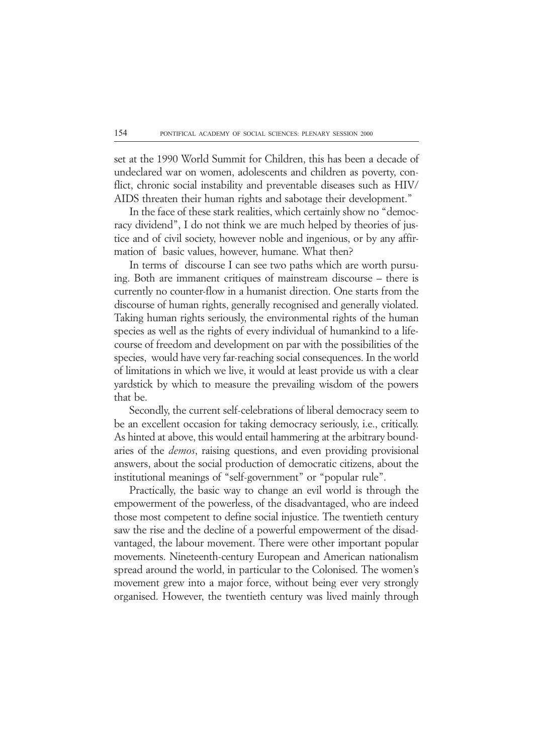set at the 1990 World Summit for Children, this has been a decade of undeclared war on women, adolescents and children as poverty, conflict, chronic social instability and preventable diseases such as HIV/ AIDS threaten their human rights and sabotage their development."

In the face of these stark realities, which certainly show no "democracy dividend", I do not think we are much helped by theories of justice and of civil society, however noble and ingenious, or by any affirmation of basic values, however, humane. What then?

In terms of discourse I can see two paths which are worth pursuing. Both are immanent critiques of mainstream discourse – there is currently no counter-flow in a humanist direction. One starts from the discourse of human rights, generally recognised and generally violated. Taking human rights seriously, the environmental rights of the human species as well as the rights of every individual of humankind to a lifecourse of freedom and development on par with the possibilities of the species, would have very far-reaching social consequences. In the world of limitations in which we live, it would at least provide us with a clear yardstick by which to measure the prevailing wisdom of the powers that be.

Secondly, the current self-celebrations of liberal democracy seem to be an excellent occasion for taking democracy seriously, i.e., critically. As hinted at above, this would entail hammering at the arbitrary boundaries of the *demos*, raising questions, and even providing provisional answers, about the social production of democratic citizens, about the institutional meanings of "self-government" or "popular rule".

Practically, the basic way to change an evil world is through the empowerment of the powerless, of the disadvantaged, who are indeed those most competent to define social injustice. The twentieth century saw the rise and the decline of a powerful empowerment of the disadvantaged, the labour movement. There were other important popular movements. Nineteenth-century European and American nationalism spread around the world, in particular to the Colonised. The women's movement grew into a major force, without being ever very strongly organised. However, the twentieth century was lived mainly through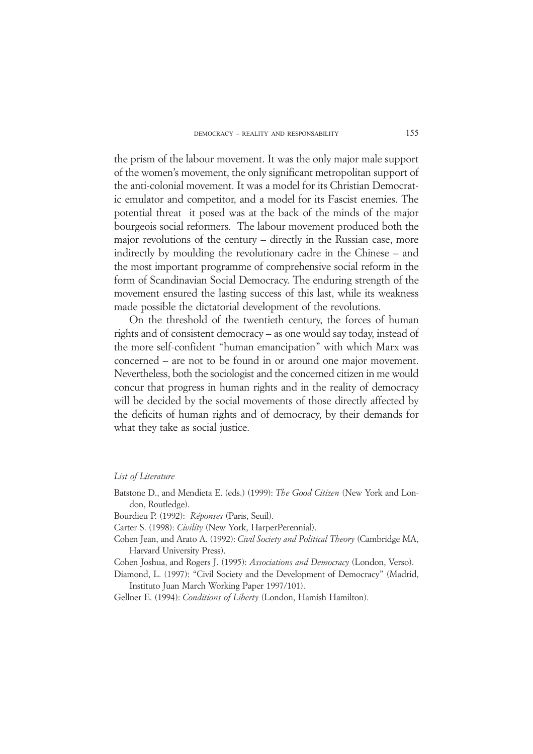the prism of the labour movement. It was the only major male support of the women's movement, the only significant metropolitan support of the anti-colonial movement. It was a model for its Christian Democratic emulator and competitor, and a model for its Fascist enemies. The potential threat it posed was at the back of the minds of the major bourgeois social reformers. The labour movement produced both the major revolutions of the century – directly in the Russian case, more indirectly by moulding the revolutionary cadre in the Chinese – and the most important programme of comprehensive social reform in the form of Scandinavian Social Democracy. The enduring strength of the movement ensured the lasting success of this last, while its weakness made possible the dictatorial development of the revolutions.

On the threshold of the twentieth century, the forces of human rights and of consistent democracy – as one would say today, instead of the more self-confident "human emancipation" with which Marx was concerned – are not to be found in or around one major movement. Nevertheless, both the sociologist and the concerned citizen in me would concur that progress in human rights and in the reality of democracy will be decided by the social movements of those directly affected by the deficits of human rights and of democracy, by their demands for what they take as social justice.

#### *List of Literature*

- Batstone D., and Mendieta E. (eds.) (1999): *The Good Citizen* (New York and London, Routledge).
- Bourdieu P. (1992): *Réponses* (Paris, Seuil).
- Carter S. (1998): *Civility* (New York, HarperPerennial).
- Cohen Jean, and Arato A. (1992): *Civil Society and Political Theory* (Cambridge MA, Harvard University Press).
- Cohen Joshua, and Rogers J. (1995): *Associations and Democracy* (London, Verso).
- Diamond, L. (1997): "Civil Society and the Development of Democracy" (Madrid, Instituto Juan March Working Paper 1997/101).
- Gellner E. (1994): *Conditions of Liberty* (London, Hamish Hamilton).